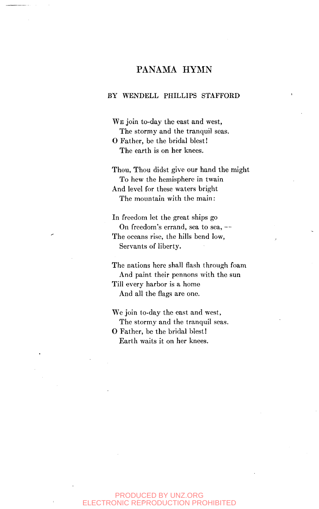# PANAMA HYMN

#### BY WENDELL PHILLIPS STAFFORD

WE join to-day the east and west, The stormy and the tranquil seas. O Father, be the bridal blest! The earth is on her knees.

Thou, Thou didst give our hand the might To hew the hemisphere in twain And level for these waters bright The mountain with the main:

In freedom let the great ships go On freedom's errand, sea to sea, — The oceans rise, the hills bend low, Servants of liberty.

The nations here shall flash through foam And paint their pennons with the sun Till every harbor is a home

And all the flags are one.

We join to-day the east and west, The stormy and the tranquil seas. O Father, be the bridal blest!

Earth waits it on her knees.

### PRODUCED BY UNZ.ORG ELECTRONIC REPRODUCTION PROHIBITED